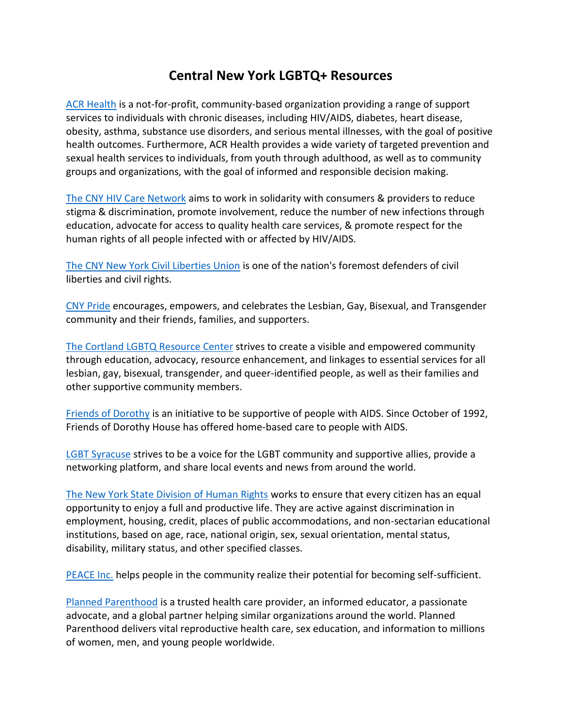## **Central New York LGBTQ+ Resources**

[ACR Health](http://acrhealth.org/) is a not-for-profit, community-based organization providing a range of support services to individuals with chronic diseases, including HIV/AIDS, diabetes, heart disease, obesity, asthma, substance use disorders, and serious mental illnesses, with the goal of positive health outcomes. Furthermore, ACR Health provides a wide variety of targeted prevention and sexual health services to individuals, from youth through adulthood, as well as to community groups and organizations, with the goal of informed and responsible decision making.

[The CNY HIV Care Network](https://www.facebook.com/CNY-HIV-Care-Network-189388461211586/) aims to work in solidarity with consumers & providers to reduce stigma & discrimination, promote involvement, reduce the number of new infections through education, advocate for access to quality health care services, & promote respect for the human rights of all people infected with or affected by HIV/AIDS.

[The CNY New York Civil Liberties Union](https://www.nyclu.org/en) is one of the nation's foremost defenders of civil liberties and civil rights.

[CNY Pride](https://www.cnypride.org/) encourages, empowers, and celebrates the Lesbian, Gay, Bisexual, and Transgender community and their friends, families, and supporters.

The Cortland [LGBTQ Resource Center](http://www.cortlandlgbtcenter.org/lgbt_resource_center/) strives to create a visible and empowered community through education, advocacy, resource enhancement, and linkages to essential services for all lesbian, gay, bisexual, transgender, and queer-identified people, as well as their families and other supportive community members.

[Friends of Dorothy](https://www.facebook.com/Friends-Of-Dorothy-House-103497893059761/timeline) is an initiative to be supportive of people with AIDS. Since October of 1992, Friends of Dorothy House has offered home-based care to people with AIDS.

[LGBT Syracuse](https://www.facebook.com/gay.syracuse/timeline) strives to be a voice for the LGBT community and supportive allies, provide a networking platform, and share local events and news from around the world.

[The New York State Division of Human Rights](http://www.dhr.ny.gov/) works to ensure that every citizen has an equal opportunity to enjoy a full and productive life. They are active against discrimination in employment, housing, credit, places of public accommodations, and non-sectarian educational institutions, based on age, race, national origin, sex, sexual orientation, mental status, disability, military status, and other specified classes.

[PEACE Inc.](http://www.peace-caa.org/) helps people in the community realize their potential for becoming self-sufficient.

[Planned Parenthood](https://www.plannedparenthood.org/health-center/new-york/syracuse/13210/syracuse-center-2471-91040) is a trusted health care provider, an informed educator, a passionate advocate, and a global partner helping similar organizations around the world. Planned Parenthood delivers vital reproductive health care, sex education, and information to millions of women, men, and young people worldwide.